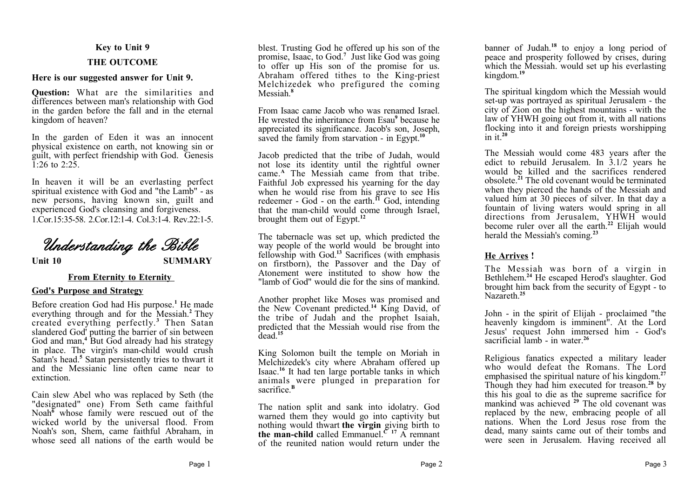### **Key to Unit 9**

## **THE OUTCOME**

### **Here is our suggested answer for Unit 9.**

**Question:** What are the similarities and differences between man's relationship with God in the garden before the fall and in the eternal kingdom of heaven?

In the garden of Eden it was an innocent physical existence on earth, not knowing sin or guilt, with perfect friendship with God. Genesis  $1.26$  to  $2.25$ 

In heaven it will be an everlasting perfect spiritual existence with God and "the Lamb" - as new persons, having known sin, guilt and experienced God's cleansing and forgiveness. 1.Cor.15:35-58. 2.Cor.12:1-4. Col.3:1-4. Rev.22:1-5.

# *Understanding the Bible*

**Unit 10 SUMMARY**

# **From Eternity to Eternity**

## **God's Purpose and Strategy**

Before creation God had His purpose.**<sup>1</sup>** He made everything through and for the Messiah.**<sup>2</sup>** They created everything perfectly.**<sup>3</sup>** Then Satan slandered God' putting the barrier of sin between God and man,**<sup>4</sup>** But God already had his strategy in place. The virgin's man-child would crush Satan's head.**<sup>5</sup>** Satan persistently tries to thwart it and the Messianic line often came near to extinction.

Cain slew Abel who was replaced by Seth (the "designated" one) From Seth came faithful Noah<sup>6</sup> whose family were rescued out of the wicked world by the universal flood. From Noah's son, Shem, came faithful Abraham, in whose seed all nations of the earth would be

blest. Trusting God he offered up his son of the promise, Isaac, to God.**<sup>7</sup>** Just like God was going to offer up His son of the promise for us. Abraham offered tithes to the King-priest Melchizedek who prefigured the coming Messiah.**<sup>8</sup>**

From Isaac came Jacob who was renamed Israel. He wrested the inheritance from Esau**<sup>9</sup>** because he appreciated its significance. Jacob's son, Joseph, saved the family from starvation - in Egypt.**<sup>10</sup>**

Jacob predicted that the tribe of Judah, would not lose its identity until the rightful owner came.**<sup>A</sup>** The Messiah came from that tribe. Faithful Job expressed his yearning for the day when he would rise from his grave to see His redeemer - God - on the earth.**<sup>11</sup>** God, intending that the man-child would come through Israel, brought them out of Egypt.**<sup>12</sup>**

The tabernacle was set up, which predicted the way people of the world would be brought into fellowship with God.**<sup>13</sup>** Sacrifices (with emphasis on firstborn), the Passover and the Day of Atonement were instituted to show how the "lamb of God" would die for the sins of mankind.

Another prophet like Moses was promised and the New Covenant predicted.**<sup>14</sup>** King David, of the tribe of Judah and the prophet Isaiah, predicted that the Messiah would rise from the  $\frac{1}{4}$ dead<sup>15</sup>

King Solomon built the temple on Moriah in Melchizedek's city where Abraham offered up Isaac.**<sup>16</sup>** It had ten large portable tanks in which animals were plunged in preparation for sacrifice.**<sup>B</sup>**

The nation split and sank into idolatry. God warned them they would go into captivity but nothing would thwart **the virgin** giving birth to **the man-child** called Emmanuel.<sup> $C$  17</sup> A remnant of the reunited nation would return under the banner of Judah.**<sup>18</sup>** to enjoy a long period of peace and prosperity followed by crises, during which the Messiah. would set up his everlasting kingdom.**<sup>19</sup>**

The spiritual kingdom which the Messiah would set-up was portrayed as spiritual Jerusalem - the city of Zion on the highest mountains - with the law of YHWH going out from it, with all nations flocking into it and foreign priests worshipping in it.<sup>20</sup>

The Messiah would come 483 years after the edict to rebuild Jerusalem. In 3.1/2 years he would be killed and the sacrifices rendered obsolete.**<sup>21</sup>** The old covenant would be terminated when they pierced the hands of the Messiah and valued him at 30 pieces of silver. In that day a fountain of living waters would spring in all directions from Jerusalem, YHWH would become ruler over all the earth.**<sup>22</sup>** Elijah would herald the Messiah's coming.**<sup>23</sup>**

# **He Arrives !**

The Messiah was born of a virgin in Bethlehem.<sup>24</sup> He escaped Herod's slaughter. God brought him back from the security of Egypt - to Nazareth<sup>25</sup>

John - in the spirit of Elijah - proclaimed "the heavenly kingdom is imminent". At the Lord Jesus' request John immersed him - God's sacrificial lamb - in water.<sup>26</sup>

Religious fanatics expected a military leader who would defeat the Romans. The Lord emphasised the spiritual nature of his kingdom.**<sup>27</sup>** Though they had him executed for treason.**<sup>28</sup>** by this his goal to die as the supreme sacrifice for mankind was achieved <sup>29</sup> The old covenant was replaced by the new, embracing people of all nations. When the Lord Jesus rose from the dead, many saints came out of their tombs and were seen in Jerusalem. Having received all